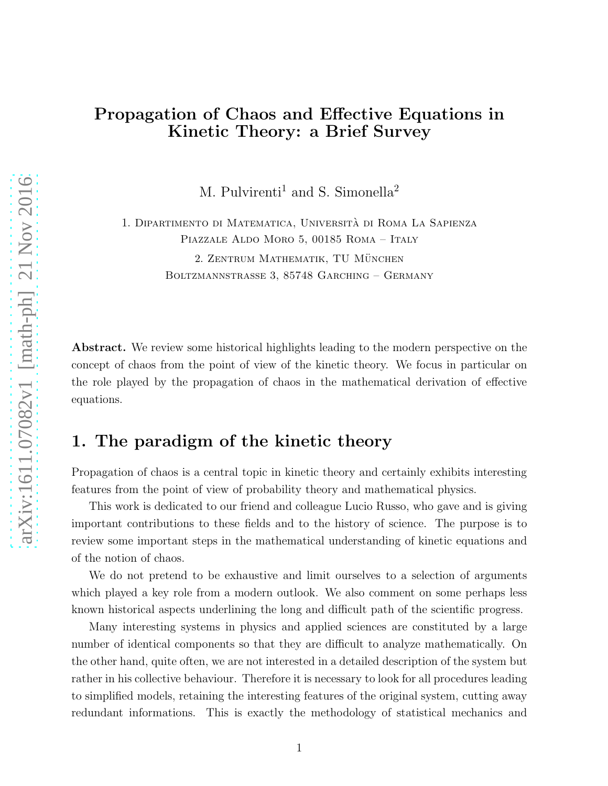# Propagation of Chaos and Effective Equations in Kinetic Theory: a Brief Survey

M. Pulvirenti<sup>1</sup> and S. Simonella<sup>2</sup>

1. Dipartimento di Matematica, Universita di Roma La Sapienza ` Piazzale Aldo Moro 5, 00185 Roma – Italy 2. ZENTRUM MATHEMATIK, TU MÜNCHEN Boltzmannstrasse 3, 85748 Garching – Germany

**Abstract.** We review some historical highlights leading to the modern perspective on the concept of chaos from the point of view of the kinetic theory. We focus in particular on the role played by the propagation of chaos in the mathematical derivation of effective equations.

## 1. The paradigm of the kinetic theory

Propagation of chaos is a central topic in kinetic theory and certainly exhibits interesting features from the point of view of probability theory and mathematical physics.

This work is dedicated to our friend and colleague Lucio Russo, who gave and is giving important contributions to these fields and to the history of science. The purpose is to review some important steps in the mathematical understanding of kinetic equations and of the notion of chaos.

We do not pretend to be exhaustive and limit ourselves to a selection of arguments which played a key role from a modern outlook. We also comment on some perhaps less known historical aspects underlining the long and difficult path of the scientific progress.

Many interesting systems in physics and applied sciences are constituted by a large number of identical components so that they are difficult to analyze mathematically. On the other hand, quite often, we are not interested in a detailed description of the system but rather in his collective behaviour. Therefore it is necessary to look for all procedures leading to simplified models, retaining the interesting features of the original system, cutting away redundant informations. This is exactly the methodology of statistical mechanics and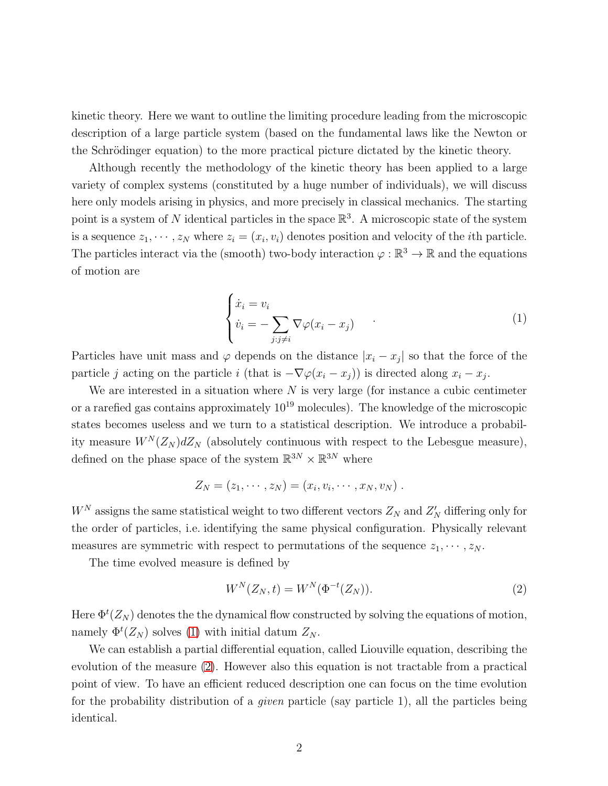kinetic theory. Here we want to outline the limiting procedure leading from the microscopic description of a large particle system (based on the fundamental laws like the Newton or the Schrödinger equation) to the more practical picture dictated by the kinetic theory.

Although recently the methodology of the kinetic theory has been applied to a large variety of complex systems (constituted by a huge number of individuals), we will discuss here only models arising in physics, and more precisely in classical mechanics. The starting point is a system of N identical particles in the space  $\mathbb{R}^3$ . A microscopic state of the system is a sequence  $z_1, \dots, z_N$  where  $z_i = (x_i, v_i)$  denotes position and velocity of the *i*th particle. The particles interact via the (smooth) two-body interaction  $\varphi : \mathbb{R}^3 \to \mathbb{R}$  and the equations of motion are

<span id="page-1-0"></span>
$$
\begin{cases} \dot{x}_i = v_i \\ \dot{v}_i = -\sum_{j:j \neq i} \nabla \varphi (x_i - x_j) \end{cases} (1)
$$

Particles have unit mass and  $\varphi$  depends on the distance  $|x_i - x_j|$  so that the force of the particle j acting on the particle i (that is  $-\nabla\varphi(x_i - x_j)$ ) is directed along  $x_i - x_j$ .

We are interested in a situation where  $N$  is very large (for instance a cubic centimeter or a rarefied gas contains approximately  $10^{19}$  molecules). The knowledge of the microscopic states becomes useless and we turn to a statistical description. We introduce a probability measure  $W^N(Z_N) dZ_N$  (absolutely continuous with respect to the Lebesgue measure), defined on the phase space of the system  $\mathbb{R}^{3N}\times\mathbb{R}^{3N}$  where

$$
Z_N=(z_1,\cdots,z_N)=(x_i,v_i,\cdots,x_N,v_N).
$$

 $W^N$  assigns the same statistical weight to two different vectors  $Z_N$  and  $Z'_N$  differing only for the order of particles, i.e. identifying the same physical configuration. Physically relevant measures are symmetric with respect to permutations of the sequence  $z_1, \dots, z_N$ .

The time evolved measure is defined by

<span id="page-1-1"></span>
$$
W^{N}(Z_{N},t) = W^{N}(\Phi^{-t}(Z_{N})).
$$
\n(2)

Here  $\Phi^t(Z_N)$  denotes the the dynamical flow constructed by solving the equations of motion, namely  $\Phi^t(Z_N)$  solves [\(1\)](#page-1-0) with initial datum  $Z_N$ .

We can establish a partial differential equation, called Liouville equation, describing the evolution of the measure [\(2\)](#page-1-1). However also this equation is not tractable from a practical point of view. To have an efficient reduced description one can focus on the time evolution for the probability distribution of a *given* particle (say particle 1), all the particles being identical.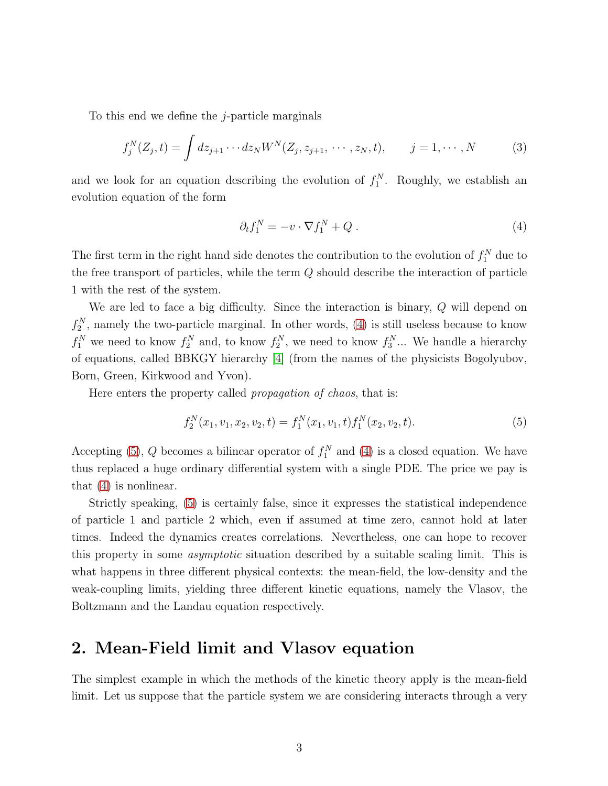To this end we define the j-particle marginals

$$
f_j^N(Z_j, t) = \int dz_{j+1} \cdots dz_N W^N(Z_j, z_{j+1}, \cdots, z_N, t), \qquad j = 1, \cdots, N
$$
 (3)

and we look for an equation describing the evolution of  $f_1^N$ . Roughly, we establish an evolution equation of the form

<span id="page-2-0"></span>
$$
\partial_t f_1^N = -v \cdot \nabla f_1^N + Q \ . \tag{4}
$$

The first term in the right hand side denotes the contribution to the evolution of  $f_1^N$  due to the free transport of particles, while the term  $Q$  should describe the interaction of particle 1 with the rest of the system.

We are led to face a big difficulty. Since the interaction is binary, Q will depend on  $f_2^N$ , namely the two-particle marginal. In other words, [\(4\)](#page-2-0) is still useless because to know  $f_1^N$  we need to know  $f_2^N$  and, to know  $f_2^N$ , we need to know  $f_3^N$ ... We handle a hierarchy of equations, called BBKGY hierarchy [\[4\]](#page-18-0) (from the names of the physicists Bogolyubov, Born, Green, Kirkwood and Yvon).

Here enters the property called *propagation of chaos*, that is:

<span id="page-2-1"></span>
$$
f_2^N(x_1, v_1, x_2, v_2, t) = f_1^N(x_1, v_1, t) f_1^N(x_2, v_2, t).
$$
\n(5)

Accepting [\(5\)](#page-2-1), Q becomes a bilinear operator of  $f_1^N$  and [\(4\)](#page-2-0) is a closed equation. We have thus replaced a huge ordinary differential system with a single PDE. The price we pay is that [\(4\)](#page-2-0) is nonlinear.

Strictly speaking, [\(5\)](#page-2-1) is certainly false, since it expresses the statistical independence of particle 1 and particle 2 which, even if assumed at time zero, cannot hold at later times. Indeed the dynamics creates correlations. Nevertheless, one can hope to recover this property in some *asymptotic* situation described by a suitable scaling limit. This is what happens in three different physical contexts: the mean-field, the low-density and the weak-coupling limits, yielding three different kinetic equations, namely the Vlasov, the Boltzmann and the Landau equation respectively.

## 2. Mean-Field limit and Vlasov equation

The simplest example in which the methods of the kinetic theory apply is the mean-field limit. Let us suppose that the particle system we are considering interacts through a very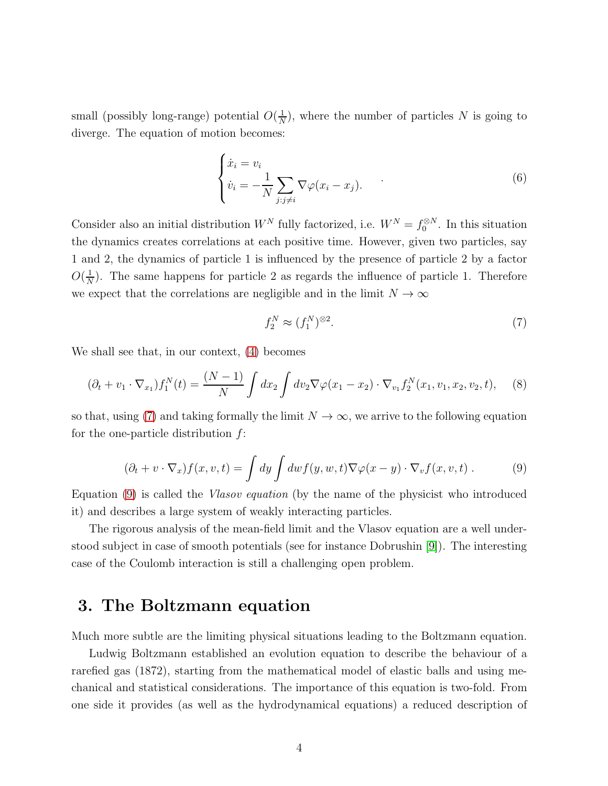small (possibly long-range) potential  $O(\frac{1}{N})$  $\frac{1}{N}$ , where the number of particles N is going to diverge. The equation of motion becomes:

$$
\begin{cases} \dot{x}_i = v_i \\ \dot{v}_i = -\frac{1}{N} \sum_{j:j \neq i} \nabla \varphi (x_i - x_j). \end{cases} \tag{6}
$$

Consider also an initial distribution  $W^N$  fully factorized, i.e.  $W^N = f_0^{\otimes N}$ . In this situation the dynamics creates correlations at each positive time. However, given two particles, say 1 and 2, the dynamics of particle 1 is influenced by the presence of particle 2 by a factor  $O(\frac{1}{\lambda})$  $\frac{1}{N}$ ). The same happens for particle 2 as regards the influence of particle 1. Therefore we expect that the correlations are negligible and in the limit  $N \to \infty$ 

<span id="page-3-0"></span>
$$
f_2^N \approx (f_1^N)^{\otimes 2}.\tag{7}
$$

We shall see that, in our context, [\(4\)](#page-2-0) becomes

$$
(\partial_t + v_1 \cdot \nabla_{x_1}) f_1^N(t) = \frac{(N-1)}{N} \int dx_2 \int dv_2 \nabla \varphi(x_1 - x_2) \cdot \nabla_{v_1} f_2^N(x_1, v_1, x_2, v_2, t), \quad (8)
$$

so that, using [\(7\)](#page-3-0) and taking formally the limit  $N \to \infty$ , we arrive to the following equation for the one-particle distribution  $f$ :

<span id="page-3-1"></span>
$$
(\partial_t + v \cdot \nabla_x) f(x, v, t) = \int dy \int dw f(y, w, t) \nabla \varphi(x - y) \cdot \nabla_v f(x, v, t) . \tag{9}
$$

Equation [\(9\)](#page-3-1) is called the *Vlasov equation* (by the name of the physicist who introduced it) and describes a large system of weakly interacting particles.

The rigorous analysis of the mean-field limit and the Vlasov equation are a well understood subject in case of smooth potentials (see for instance Dobrushin [\[9\]](#page-18-1)). The interesting case of the Coulomb interaction is still a challenging open problem.

#### 3. The Boltzmann equation

Much more subtle are the limiting physical situations leading to the Boltzmann equation.

Ludwig Boltzmann established an evolution equation to describe the behaviour of a rarefied gas (1872), starting from the mathematical model of elastic balls and using mechanical and statistical considerations. The importance of this equation is two-fold. From one side it provides (as well as the hydrodynamical equations) a reduced description of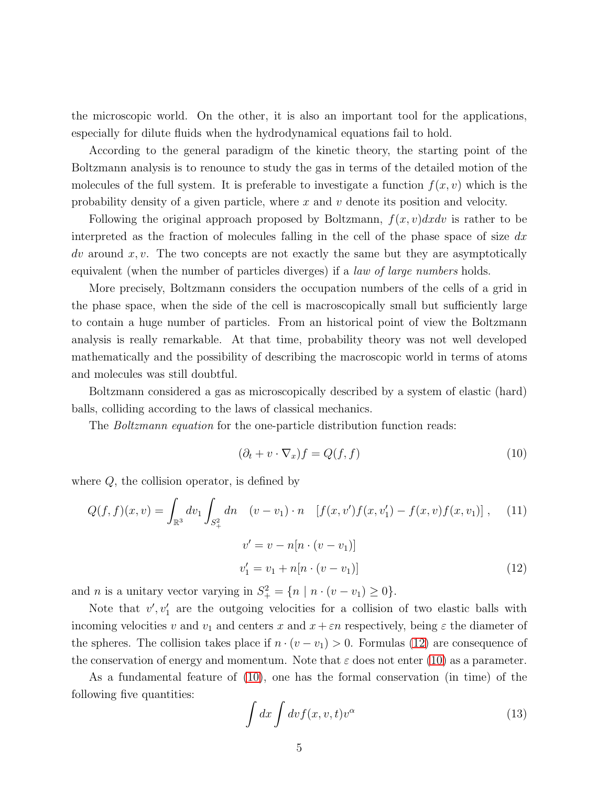the microscopic world. On the other, it is also an important tool for the applications, especially for dilute fluids when the hydrodynamical equations fail to hold.

According to the general paradigm of the kinetic theory, the starting point of the Boltzmann analysis is to renounce to study the gas in terms of the detailed motion of the molecules of the full system. It is preferable to investigate a function  $f(x, v)$  which is the probability density of a given particle, where x and v denote its position and velocity.

Following the original approach proposed by Boltzmann,  $f(x, v)dx dv$  is rather to be interpreted as the fraction of molecules falling in the cell of the phase space of size  $dx$  $dv$  around  $x, v$ . The two concepts are not exactly the same but they are asymptotically equivalent (when the number of particles diverges) if a *law of large numbers* holds.

More precisely, Boltzmann considers the occupation numbers of the cells of a grid in the phase space, when the side of the cell is macroscopically small but sufficiently large to contain a huge number of particles. From an historical point of view the Boltzmann analysis is really remarkable. At that time, probability theory was not well developed mathematically and the possibility of describing the macroscopic world in terms of atoms and molecules was still doubtful.

Boltzmann considered a gas as microscopically described by a system of elastic (hard) balls, colliding according to the laws of classical mechanics.

The *Boltzmann equation* for the one-particle distribution function reads:

<span id="page-4-1"></span><span id="page-4-0"></span>
$$
(\partial_t + v \cdot \nabla_x) f = Q(f, f) \tag{10}
$$

where  $Q$ , the collision operator, is defined by

<span id="page-4-2"></span>
$$
Q(f, f)(x, v) = \int_{\mathbb{R}^3} dv_1 \int_{S_+^2} dn \quad (v - v_1) \cdot n \quad [f(x, v')f(x, v_1') - f(x, v)f(x, v_1)] , \quad (11)
$$

$$
v' = v - n[n \cdot (v - v_1)]
$$

$$
v'_1 = v_1 + n[n \cdot (v - v_1)]
$$
(12)

and *n* is a unitary vector varying in  $S_+^2 = \{ n \mid n \cdot (v - v_1) \geq 0 \}.$ 

Note that  $v', v'_1$  are the outgoing velocities for a collision of two elastic balls with incoming velocities v and  $v_1$  and centers x and  $x + \varepsilon n$  respectively, being  $\varepsilon$  the diameter of the spheres. The collision takes place if  $n \cdot (v - v_1) > 0$ . Formulas [\(12\)](#page-4-0) are consequence of the conservation of energy and momentum. Note that  $\varepsilon$  does not enter [\(10\)](#page-4-1) as a parameter.

As a fundamental feature of [\(10\)](#page-4-1), one has the formal conservation (in time) of the following five quantities:

$$
\int dx \int dv f(x, v, t)v^{\alpha} \tag{13}
$$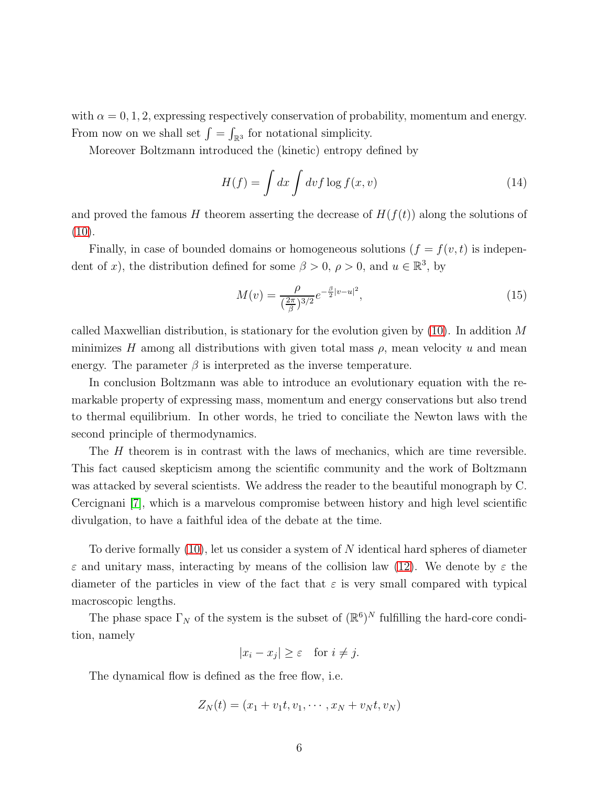with  $\alpha = 0, 1, 2$ , expressing respectively conservation of probability, momentum and energy. From now on we shall set  $\int = \int_{\mathbb{R}^3}$  for notational simplicity.

Moreover Boltzmann introduced the (kinetic) entropy defined by

$$
H(f) = \int dx \int dv f \log f(x, v)
$$
\n(14)

and proved the famous H theorem asserting the decrease of  $H(f(t))$  along the solutions of  $(10).$  $(10).$ 

Finally, in case of bounded domains or homogeneous solutions  $(f = f(v, t))$  is independent of x), the distribution defined for some  $\beta > 0$ ,  $\rho > 0$ , and  $u \in \mathbb{R}^3$ , by

$$
M(v) = \frac{\rho}{(\frac{2\pi}{\beta})^{3/2}} e^{-\frac{\beta}{2}|v-u|^2},\tag{15}
$$

called Maxwellian distribution, is stationary for the evolution given by  $(10)$ . In addition M minimizes H among all distributions with given total mass  $\rho$ , mean velocity u and mean energy. The parameter  $\beta$  is interpreted as the inverse temperature.

In conclusion Boltzmann was able to introduce an evolutionary equation with the remarkable property of expressing mass, momentum and energy conservations but also trend to thermal equilibrium. In other words, he tried to conciliate the Newton laws with the second principle of thermodynamics.

The H theorem is in contrast with the laws of mechanics, which are time reversible. This fact caused skepticism among the scientific community and the work of Boltzmann was attacked by several scientists. We address the reader to the beautiful monograph by C. Cercignani [\[7\]](#page-18-2), which is a marvelous compromise between history and high level scientific divulgation, to have a faithful idea of the debate at the time.

To derive formally [\(10\)](#page-4-1), let us consider a system of N identical hard spheres of diameter  $\varepsilon$  and unitary mass, interacting by means of the collision law [\(12\)](#page-4-0). We denote by  $\varepsilon$  the diameter of the particles in view of the fact that  $\varepsilon$  is very small compared with typical macroscopic lengths.

The phase space  $\Gamma_N$  of the system is the subset of  $(\mathbb{R}^6)^N$  fulfilling the hard-core condition, namely

 $|x_i - x_j| \geq \varepsilon$  for  $i \neq j$ .

The dynamical flow is defined as the free flow, i.e.

$$
Z_N(t) = (x_1 + v_1t, v_1, \cdots, x_N + v_Nt, v_N)
$$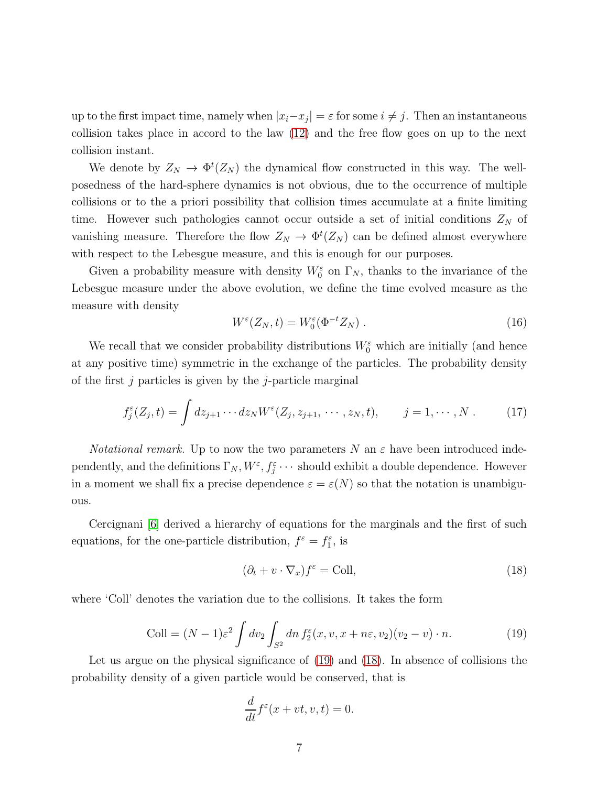up to the first impact time, namely when  $|x_i-x_j| = \varepsilon$  for some  $i \neq j$ . Then an instantaneous collision takes place in accord to the law [\(12\)](#page-4-0) and the free flow goes on up to the next collision instant.

We denote by  $Z_N \to \Phi^t(Z_N)$  the dynamical flow constructed in this way. The wellposedness of the hard-sphere dynamics is not obvious, due to the occurrence of multiple collisions or to the a priori possibility that collision times accumulate at a finite limiting time. However such pathologies cannot occur outside a set of initial conditions  $Z_N$  of vanishing measure. Therefore the flow  $Z_N \to \Phi^t(Z_N)$  can be defined almost everywhere with respect to the Lebesgue measure, and this is enough for our purposes.

Given a probability measure with density  $W_0^{\varepsilon}$  on  $\Gamma_N$ , thanks to the invariance of the Lebesgue measure under the above evolution, we define the time evolved measure as the measure with density

$$
W^{\varepsilon}(Z_N, t) = W_0^{\varepsilon}(\Phi^{-t} Z_N) . \tag{16}
$$

We recall that we consider probability distributions  $W_0^{\varepsilon}$  which are initially (and hence at any positive time) symmetric in the exchange of the particles. The probability density of the first  $j$  particles is given by the  $j$ -particle marginal

$$
f_j^{\varepsilon}(Z_j, t) = \int dz_{j+1} \cdots dz_N W^{\varepsilon}(Z_j, z_{j+1}, \cdots, z_N, t), \qquad j = 1, \cdots, N. \qquad (17)
$$

*Notational remark.* Up to now the two parameters N an  $\varepsilon$  have been introduced independently, and the definitions  $\Gamma_N$ ,  $W^{\varepsilon}, f_j^{\varepsilon} \cdots$  should exhibit a double dependence. However in a moment we shall fix a precise dependence  $\varepsilon = \varepsilon(N)$  so that the notation is unambiguous.

Cercignani [\[6\]](#page-18-3) derived a hierarchy of equations for the marginals and the first of such equations, for the one-particle distribution,  $f^{\varepsilon} = f_1^{\varepsilon}$ , is

<span id="page-6-1"></span>
$$
(\partial_t + v \cdot \nabla_x) f^{\varepsilon} = \text{Coll},\tag{18}
$$

where 'Coll' denotes the variation due to the collisions. It takes the form

<span id="page-6-0"></span>
$$
\text{Coll} = (N-1)\varepsilon^2 \int dv_2 \int_{S^2} dn \, f_2^{\varepsilon}(x, v, x + n\varepsilon, v_2)(v_2 - v) \cdot n. \tag{19}
$$

Let us argue on the physical significance of [\(19\)](#page-6-0) and [\(18\)](#page-6-1). In absence of collisions the probability density of a given particle would be conserved, that is

$$
\frac{d}{dt}f^{\varepsilon}(x+vt,v,t) = 0.
$$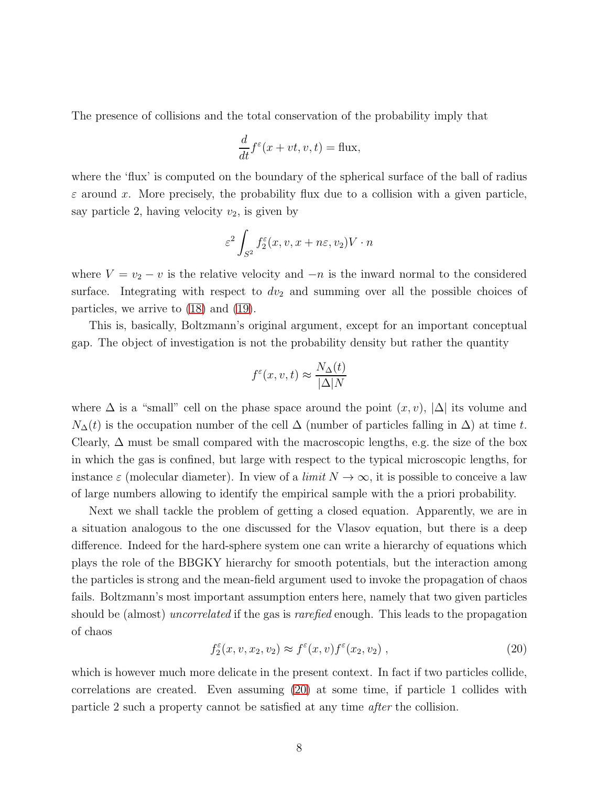The presence of collisions and the total conservation of the probability imply that

$$
\frac{d}{dt}f^{\varepsilon}(x+vt,v,t) = \text{flux},
$$

where the 'flux' is computed on the boundary of the spherical surface of the ball of radius  $\varepsilon$  around x. More precisely, the probability flux due to a collision with a given particle, say particle 2, having velocity  $v_2$ , is given by

$$
\varepsilon^2 \int_{S^2} f_2^{\varepsilon}(x, v, x + n\varepsilon, v_2) V \cdot n
$$

where  $V = v_2 - v$  is the relative velocity and  $-n$  is the inward normal to the considered surface. Integrating with respect to  $dv_2$  and summing over all the possible choices of particles, we arrive to [\(18\)](#page-6-1) and [\(19\)](#page-6-0).

This is, basically, Boltzmann's original argument, except for an important conceptual gap. The object of investigation is not the probability density but rather the quantity

$$
f^{\varepsilon}(x, v, t) \approx \frac{N_{\Delta}(t)}{|\Delta|N}
$$

where  $\Delta$  is a "small" cell on the phase space around the point  $(x, v)$ ,  $|\Delta|$  its volume and  $N_{\Delta}(t)$  is the occupation number of the cell  $\Delta$  (number of particles falling in  $\Delta$ ) at time t. Clearly,  $\Delta$  must be small compared with the macroscopic lengths, e.g. the size of the box in which the gas is confined, but large with respect to the typical microscopic lengths, for instance  $\varepsilon$  (molecular diameter). In view of a *limit*  $N \to \infty$ , it is possible to conceive a law of large numbers allowing to identify the empirical sample with the a priori probability.

Next we shall tackle the problem of getting a closed equation. Apparently, we are in a situation analogous to the one discussed for the Vlasov equation, but there is a deep difference. Indeed for the hard-sphere system one can write a hierarchy of equations which plays the role of the BBGKY hierarchy for smooth potentials, but the interaction among the particles is strong and the mean-field argument used to invoke the propagation of chaos fails. Boltzmann's most important assumption enters here, namely that two given particles should be (almost) *uncorrelated* if the gas is *rarefied* enough. This leads to the propagation of chaos

<span id="page-7-0"></span>
$$
f_2^{\varepsilon}(x, v, x_2, v_2) \approx f^{\varepsilon}(x, v) f^{\varepsilon}(x_2, v_2) , \qquad (20)
$$

which is however much more delicate in the present context. In fact if two particles collide, correlations are created. Even assuming [\(20\)](#page-7-0) at some time, if particle 1 collides with particle 2 such a property cannot be satisfied at any time *after* the collision.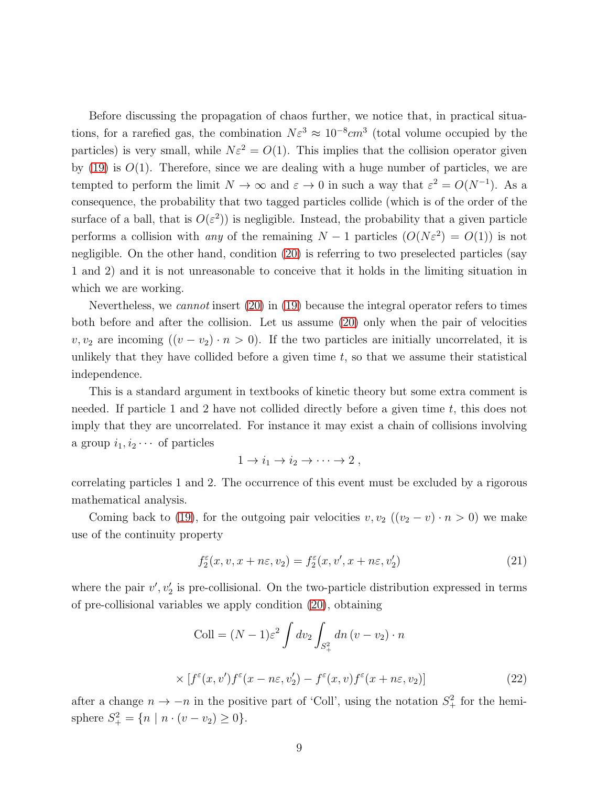Before discussing the propagation of chaos further, we notice that, in practical situations, for a rarefied gas, the combination  $N\varepsilon^3 \approx 10^{-8} cm^3$  (total volume occupied by the particles) is very small, while  $N\varepsilon^2 = O(1)$ . This implies that the collision operator given by  $(19)$  is  $O(1)$ . Therefore, since we are dealing with a huge number of particles, we are tempted to perform the limit  $N \to \infty$  and  $\varepsilon \to 0$  in such a way that  $\varepsilon^2 = O(N^{-1})$ . As a consequence, the probability that two tagged particles collide (which is of the order of the surface of a ball, that is  $O(\varepsilon^2)$  is negligible. Instead, the probability that a given particle performs a collision with *any* of the remaining  $N-1$  particles  $(O(N\varepsilon^2) = O(1))$  is not negligible. On the other hand, condition [\(20\)](#page-7-0) is referring to two preselected particles (say 1 and 2) and it is not unreasonable to conceive that it holds in the limiting situation in which we are working.

Nevertheless, we *cannot* insert [\(20\)](#page-7-0) in [\(19\)](#page-6-0) because the integral operator refers to times both before and after the collision. Let us assume [\(20\)](#page-7-0) only when the pair of velocities v,  $v_2$  are incoming  $((v - v_2) \cdot n > 0)$ . If the two particles are initially uncorrelated, it is unlikely that they have collided before a given time  $t$ , so that we assume their statistical independence.

This is a standard argument in textbooks of kinetic theory but some extra comment is needed. If particle 1 and 2 have not collided directly before a given time  $t$ , this does not imply that they are uncorrelated. For instance it may exist a chain of collisions involving a group  $i_1, i_2 \cdots$  of particles

$$
1 \to i_1 \to i_2 \to \cdots \to 2 ,
$$

correlating particles 1 and 2. The occurrence of this event must be excluded by a rigorous mathematical analysis.

Coming back to [\(19\)](#page-6-0), for the outgoing pair velocities  $v, v_2$  ( $(v_2 - v) \cdot n > 0$ ) we make use of the continuity property

$$
f_2^{\varepsilon}(x, v, x + n\varepsilon, v_2) = f_2^{\varepsilon}(x, v', x + n\varepsilon, v_2')
$$
\n(21)

where the pair  $v', v'_2$  is pre-collisional. On the two-particle distribution expressed in terms of pre-collisional variables we apply condition [\(20\)](#page-7-0), obtaining

$$
\text{Coll} = (N-1)\varepsilon^2 \int dv_2 \int_{S_+^2} dn \left(v - v_2\right) \cdot n
$$
\n
$$
\times \left[ f^{\varepsilon}(x, v') f^{\varepsilon}(x - n\varepsilon, v'_2) - f^{\varepsilon}(x, v) f^{\varepsilon}(x + n\varepsilon, v_2) \right] \tag{22}
$$

after a change  $n \to -n$  in the positive part of 'Coll', using the notation  $S^2_+$  for the hemisphere  $S_+^2 = \{ n \mid n \cdot (v - v_2) \ge 0 \}.$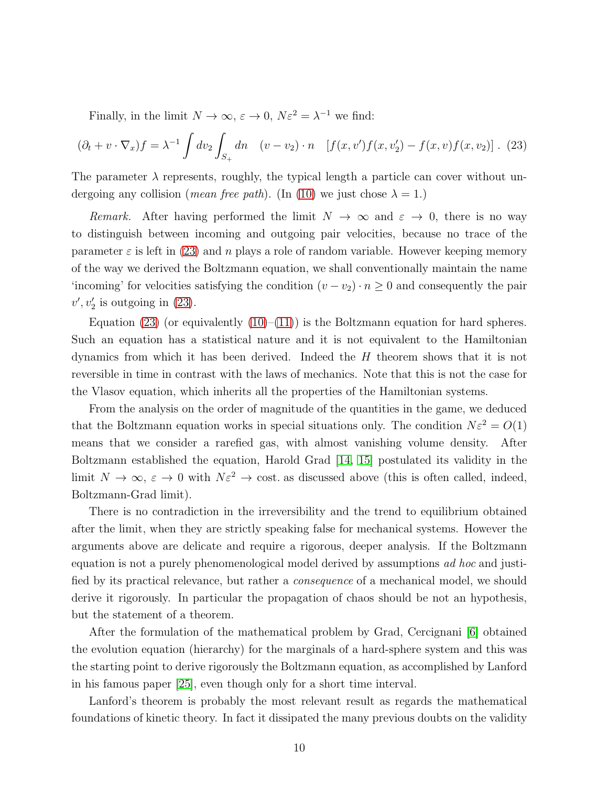Finally, in the limit  $N \to \infty$ ,  $\varepsilon \to 0$ ,  $N\varepsilon^2 = \lambda^{-1}$  we find:

<span id="page-9-0"></span>
$$
(\partial_t + v \cdot \nabla_x) f = \lambda^{-1} \int dv_2 \int_{S_+} dn \quad (v - v_2) \cdot n \quad [f(x, v') f(x, v'_2) - f(x, v) f(x, v_2)] \tag{23}
$$

The parameter  $\lambda$  represents, roughly, the typical length a particle can cover without undergoing any collision (*mean free path*). (In [\(10\)](#page-4-1) we just chose  $\lambda = 1$ .)

*Remark.* After having performed the limit  $N \to \infty$  and  $\varepsilon \to 0$ , there is no way to distinguish between incoming and outgoing pair velocities, because no trace of the parameter  $\varepsilon$  is left in [\(23\)](#page-9-0) and n plays a role of random variable. However keeping memory of the way we derived the Boltzmann equation, we shall conventionally maintain the name 'incoming' for velocities satisfying the condition  $(v - v_2) \cdot n \geq 0$  and consequently the pair  $v', v'_2$  is outgoing in [\(23\)](#page-9-0).

Equation  $(23)$  (or equivalently  $(10)$ – $(11)$ ) is the Boltzmann equation for hard spheres. Such an equation has a statistical nature and it is not equivalent to the Hamiltonian dynamics from which it has been derived. Indeed the  $H$  theorem shows that it is not reversible in time in contrast with the laws of mechanics. Note that this is not the case for the Vlasov equation, which inherits all the properties of the Hamiltonian systems.

From the analysis on the order of magnitude of the quantities in the game, we deduced that the Boltzmann equation works in special situations only. The condition  $N\varepsilon^2 = O(1)$ means that we consider a rarefied gas, with almost vanishing volume density. After Boltzmann established the equation, Harold Grad [\[14,](#page-19-0) [15\]](#page-19-1) postulated its validity in the limit  $N \to \infty$ ,  $\varepsilon \to 0$  with  $N\varepsilon^2 \to \text{cost}$  as discussed above (this is often called, indeed, Boltzmann-Grad limit).

There is no contradiction in the irreversibility and the trend to equilibrium obtained after the limit, when they are strictly speaking false for mechanical systems. However the arguments above are delicate and require a rigorous, deeper analysis. If the Boltzmann equation is not a purely phenomenological model derived by assumptions *ad hoc* and justified by its practical relevance, but rather a *consequence* of a mechanical model, we should derive it rigorously. In particular the propagation of chaos should be not an hypothesis, but the statement of a theorem.

After the formulation of the mathematical problem by Grad, Cercignani [\[6\]](#page-18-3) obtained the evolution equation (hierarchy) for the marginals of a hard-sphere system and this was the starting point to derive rigorously the Boltzmann equation, as accomplished by Lanford in his famous paper [\[25\]](#page-19-2), even though only for a short time interval.

Lanford's theorem is probably the most relevant result as regards the mathematical foundations of kinetic theory. In fact it dissipated the many previous doubts on the validity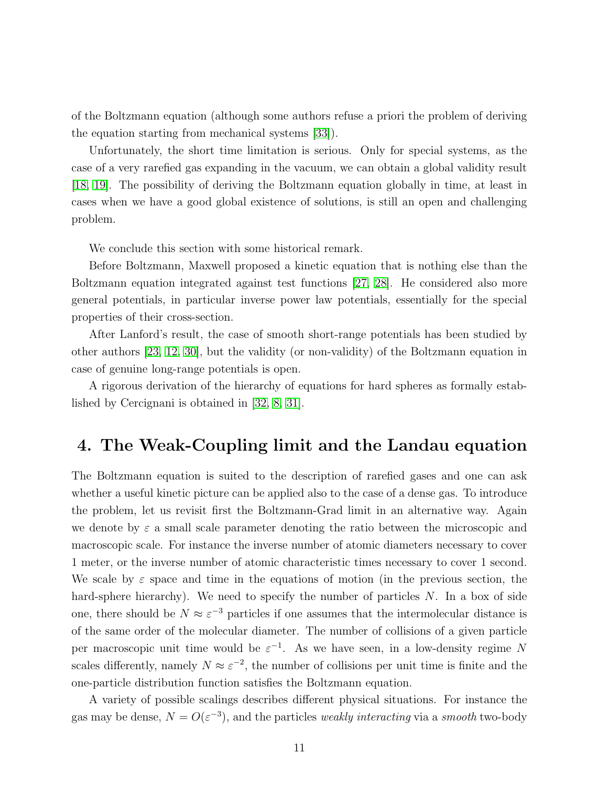of the Boltzmann equation (although some authors refuse a priori the problem of deriving the equation starting from mechanical systems [\[33\]](#page-20-0)).

Unfortunately, the short time limitation is serious. Only for special systems, as the case of a very rarefied gas expanding in the vacuum, we can obtain a global validity result [\[18,](#page-19-3) [19\]](#page-19-4). The possibility of deriving the Boltzmann equation globally in time, at least in cases when we have a good global existence of solutions, is still an open and challenging problem.

We conclude this section with some historical remark.

Before Boltzmann, Maxwell proposed a kinetic equation that is nothing else than the Boltzmann equation integrated against test functions [\[27,](#page-20-1) [28\]](#page-20-2). He considered also more general potentials, in particular inverse power law potentials, essentially for the special properties of their cross-section.

After Lanford's result, the case of smooth short-range potentials has been studied by other authors [\[23,](#page-19-5) [12,](#page-18-4) [30\]](#page-20-3), but the validity (or non-validity) of the Boltzmann equation in case of genuine long-range potentials is open.

A rigorous derivation of the hierarchy of equations for hard spheres as formally established by Cercignani is obtained in [\[32,](#page-20-4) [8,](#page-18-5) [31\]](#page-20-5).

## 4. The Weak-Coupling limit and the Landau equation

The Boltzmann equation is suited to the description of rarefied gases and one can ask whether a useful kinetic picture can be applied also to the case of a dense gas. To introduce the problem, let us revisit first the Boltzmann-Grad limit in an alternative way. Again we denote by  $\varepsilon$  a small scale parameter denoting the ratio between the microscopic and macroscopic scale. For instance the inverse number of atomic diameters necessary to cover 1 meter, or the inverse number of atomic characteristic times necessary to cover 1 second. We scale by  $\varepsilon$  space and time in the equations of motion (in the previous section, the hard-sphere hierarchy). We need to specify the number of particles  $N$ . In a box of side one, there should be  $N \approx \varepsilon^{-3}$  particles if one assumes that the intermolecular distance is of the same order of the molecular diameter. The number of collisions of a given particle per macroscopic unit time would be  $\varepsilon^{-1}$ . As we have seen, in a low-density regime N scales differently, namely  $N \approx \varepsilon^{-2}$ , the number of collisions per unit time is finite and the one-particle distribution function satisfies the Boltzmann equation.

A variety of possible scalings describes different physical situations. For instance the gas may be dense,  $N = O(\varepsilon^{-3})$ , and the particles *weakly interacting* via a *smooth* two-body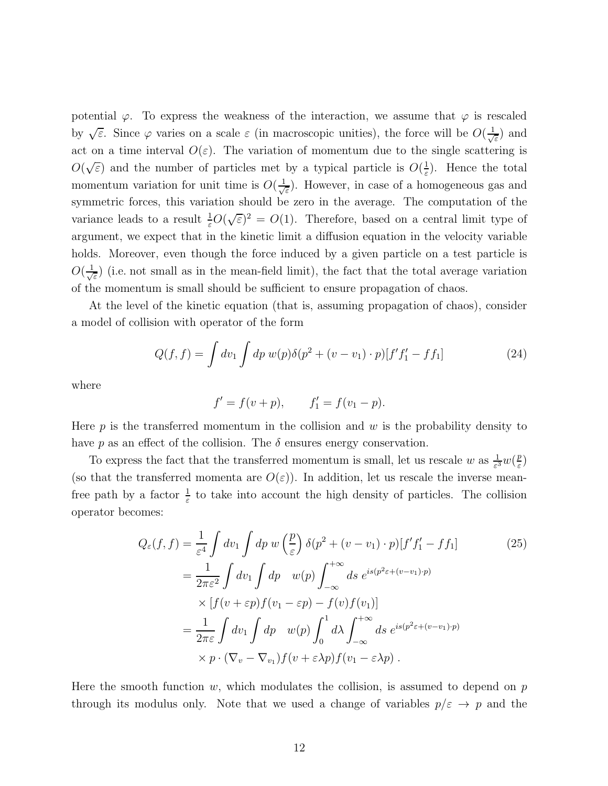potential  $\varphi$ . To express the weakness of the interaction, we assume that  $\varphi$  is rescaled by  $\sqrt{\varepsilon}$ . Since  $\varphi$  varies on a scale  $\varepsilon$  (in macroscopic unities), the force will be  $O(\frac{1}{\sqrt{\varepsilon}})$ ε ) and act on a time interval  $O(\varepsilon)$ . The variation of momentum due to the single scattering is  $O(\sqrt{\varepsilon})$  and the number of particles met by a typical particle is  $O(\frac{1}{\varepsilon})$  $\frac{1}{\varepsilon}$ ). Hence the total momentum variation for unit time is  $O(\frac{1}{\sqrt{2}})$  $\frac{1}{\epsilon}$ ). However, in case of a homogeneous gas and symmetric forces, this variation should be zero in the average. The computation of the variance leads to a result  $\frac{1}{\varepsilon}O(\sqrt{\varepsilon})^2 = O(1)$ . Therefore, based on a central limit type of argument, we expect that in the kinetic limit a diffusion equation in the velocity variable holds. Moreover, even though the force induced by a given particle on a test particle is  $O(\frac{1}{\sqrt{2}})$  $\frac{1}{\epsilon}$ ) (i.e. not small as in the mean-field limit), the fact that the total average variation of the momentum is small should be sufficient to ensure propagation of chaos.

At the level of the kinetic equation (that is, assuming propagation of chaos), consider a model of collision with operator of the form

$$
Q(f, f) = \int dv_1 \int dp \, w(p) \delta(p^2 + (v - v_1) \cdot p) [f' f'_1 - f f_1]
$$
\n(24)

where

$$
f' = f(v + p),
$$
  $f'_1 = f(v_1 - p).$ 

Here  $p$  is the transferred momentum in the collision and  $w$  is the probability density to have p as an effect of the collision. The  $\delta$  ensures energy conservation.

To express the fact that the transferred momentum is small, let us rescale w as  $\frac{1}{\varepsilon^3}w(\frac{p}{\varepsilon})$  $\frac{p}{\varepsilon})$ (so that the transferred momenta are  $O(\varepsilon)$ ). In addition, let us rescale the inverse meanfree path by a factor  $\frac{1}{\varepsilon}$  to take into account the high density of particles. The collision operator becomes:

$$
Q_{\varepsilon}(f, f) = \frac{1}{\varepsilon^{4}} \int dv_{1} \int dp \ w \left(\frac{p}{\varepsilon}\right) \delta(p^{2} + (v - v_{1}) \cdot p)[f'f'_{1} - ff_{1}]
$$
\n
$$
= \frac{1}{2\pi\varepsilon^{2}} \int dv_{1} \int dp \ w(p) \int_{-\infty}^{+\infty} ds \ e^{is(p^{2}\varepsilon + (v - v_{1}) \cdot p)}
$$
\n
$$
\times \left[ f(v + \varepsilon p)f(v_{1} - \varepsilon p) - f(v)f(v_{1}) \right]
$$
\n
$$
= \frac{1}{2\pi\varepsilon} \int dv_{1} \int dp \ w(p) \int_{0}^{1} d\lambda \int_{-\infty}^{+\infty} ds \ e^{is(p^{2}\varepsilon + (v - v_{1}) \cdot p)}
$$
\n
$$
\times p \cdot (\nabla_{v} - \nabla_{v_{1}}) f(v + \varepsilon \lambda p) f(v_{1} - \varepsilon \lambda p).
$$
\n(25)

Here the smooth function  $w$ , which modulates the collision, is assumed to depend on  $p$ through its modulus only. Note that we used a change of variables  $p/\varepsilon \to p$  and the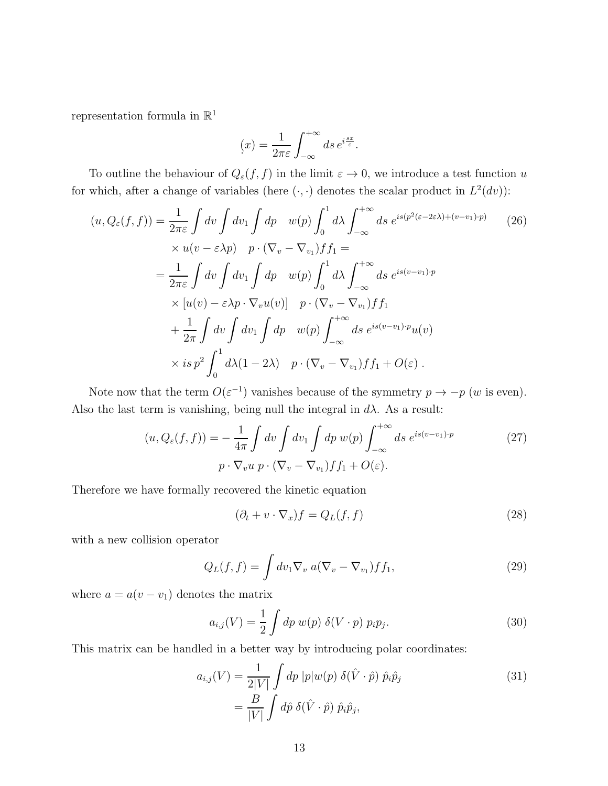representation formula in  $\mathbb{R}^1$ 

$$
(x) = \frac{1}{2\pi\varepsilon} \int_{-\infty}^{+\infty} ds \, e^{i\frac{sx}{\varepsilon}}.
$$

To outline the behaviour of  $Q_{\varepsilon}(f, f)$  in the limit  $\varepsilon \to 0$ , we introduce a test function u for which, after a change of variables (here  $(\cdot, \cdot)$  denotes the scalar product in  $L^2(dv)$ ):

$$
(u, Q_{\varepsilon}(f, f)) = \frac{1}{2\pi\varepsilon} \int dv \int dv_1 \int dp \quad w(p) \int_0^1 d\lambda \int_{-\infty}^{+\infty} ds \ e^{is(p^2(\varepsilon - 2\varepsilon\lambda) + (v - v_1) \cdot p)} \quad (26)
$$
  
 
$$
\times u(v - \varepsilon\lambda p) \quad p \cdot (\nabla_v - \nabla_{v_1}) f f_1 =
$$
  
\n
$$
= \frac{1}{2\pi\varepsilon} \int dv \int dv_1 \int dp \quad w(p) \int_0^1 d\lambda \int_{-\infty}^{+\infty} ds \ e^{is(v - v_1) \cdot p}
$$
  
\n
$$
\times [u(v) - \varepsilon\lambda p \cdot \nabla_v u(v)] \quad p \cdot (\nabla_v - \nabla_{v_1}) f f_1
$$
  
\n
$$
+ \frac{1}{2\pi} \int dv \int dv_1 \int dp \quad w(p) \int_{-\infty}^{+\infty} ds \ e^{is(v - v_1) \cdot p} u(v)
$$
  
\n
$$
\times is \ p^2 \int_0^1 d\lambda (1 - 2\lambda) \quad p \cdot (\nabla_v - \nabla_{v_1}) f f_1 + O(\varepsilon) .
$$

Note now that the term  $O(\varepsilon^{-1})$  vanishes because of the symmetry  $p \to -p$  (w is even). Also the last term is vanishing, being null the integral in  $d\lambda$ . As a result:

$$
(u, Q_{\varepsilon}(f, f)) = -\frac{1}{4\pi} \int dv \int dv_1 \int dp w(p) \int_{-\infty}^{+\infty} ds \ e^{is(v-v_1)\cdot p}
$$
  
 
$$
p \cdot \nabla_v u \ p \cdot (\nabla_v - \nabla_{v_1}) f f_1 + O(\varepsilon).
$$
 (27)

Therefore we have formally recovered the kinetic equation

<span id="page-12-0"></span>
$$
(\partial_t + v \cdot \nabla_x) f = Q_L(f, f) \tag{28}
$$

with a new collision operator

$$
Q_L(f, f) = \int dv_1 \nabla_v a(\nabla_v - \nabla_{v_1}) f f_1,
$$
\n(29)

where  $a = a(v - v_1)$  denotes the matrix

$$
a_{i,j}(V) = \frac{1}{2} \int dp \ w(p) \ \delta(V \cdot p) \ p_i p_j. \tag{30}
$$

This matrix can be handled in a better way by introducing polar coordinates:

$$
a_{i,j}(V) = \frac{1}{2|V|} \int dp |p|w(p) \delta(\hat{V} \cdot \hat{p}) \hat{p}_i \hat{p}_j
$$
  
= 
$$
\frac{B}{|V|} \int d\hat{p} \delta(\hat{V} \cdot \hat{p}) \hat{p}_i \hat{p}_j,
$$
 (31)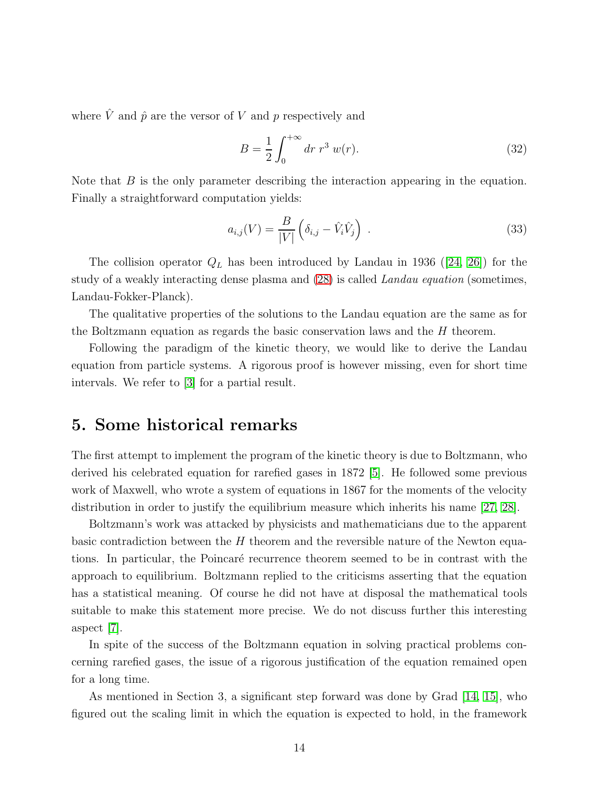where  $\hat{V}$  and  $\hat{p}$  are the versor of V and p respectively and

$$
B = \frac{1}{2} \int_0^{+\infty} dr \ r^3 \ w(r).
$$
 (32)

Note that  $B$  is the only parameter describing the interaction appearing in the equation. Finally a straightforward computation yields:

$$
a_{i,j}(V) = \frac{B}{|V|} \left( \delta_{i,j} - \hat{V}_i \hat{V}_j \right) . \tag{33}
$$

Thecollision operator  $Q_L$  has been introduced by Landau in 1936 ([\[24,](#page-19-6) [26\]](#page-19-7)) for the study of a weakly interacting dense plasma and [\(28\)](#page-12-0) is called *Landau equation* (sometimes, Landau-Fokker-Planck).

The qualitative properties of the solutions to the Landau equation are the same as for the Boltzmann equation as regards the basic conservation laws and the H theorem.

Following the paradigm of the kinetic theory, we would like to derive the Landau equation from particle systems. A rigorous proof is however missing, even for short time intervals. We refer to [\[3\]](#page-18-6) for a partial result.

#### 5. Some historical remarks

The first attempt to implement the program of the kinetic theory is due to Boltzmann, who derived his celebrated equation for rarefied gases in 1872 [\[5\]](#page-18-7). He followed some previous work of Maxwell, who wrote a system of equations in 1867 for the moments of the velocity distribution in order to justify the equilibrium measure which inherits his name [\[27,](#page-20-1) [28\]](#page-20-2).

Boltzmann's work was attacked by physicists and mathematicians due to the apparent basic contradiction between the  $H$  theorem and the reversible nature of the Newton equations. In particular, the Poincaré recurrence theorem seemed to be in contrast with the approach to equilibrium. Boltzmann replied to the criticisms asserting that the equation has a statistical meaning. Of course he did not have at disposal the mathematical tools suitable to make this statement more precise. We do not discuss further this interesting aspect [\[7\]](#page-18-2).

In spite of the success of the Boltzmann equation in solving practical problems concerning rarefied gases, the issue of a rigorous justification of the equation remained open for a long time.

As mentioned in Section 3, a significant step forward was done by Grad [\[14,](#page-19-0) [15\]](#page-19-1), who figured out the scaling limit in which the equation is expected to hold, in the framework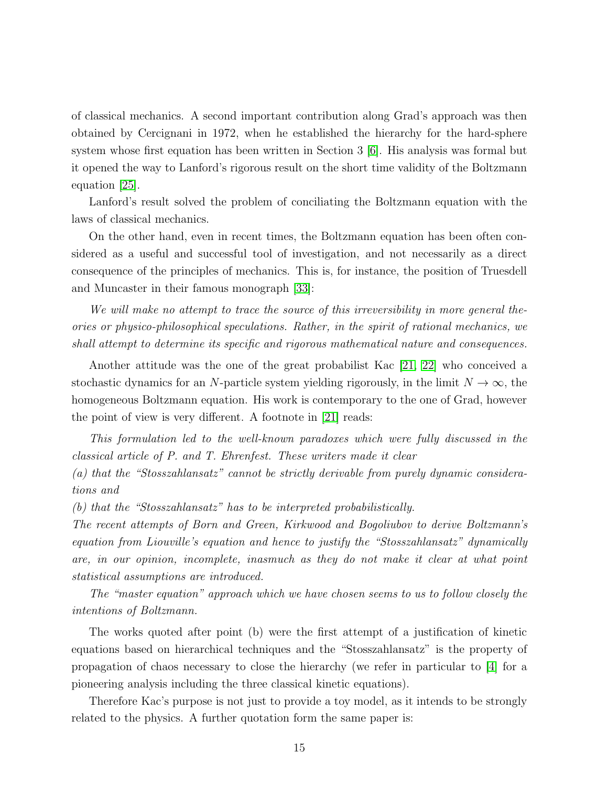of classical mechanics. A second important contribution along Grad's approach was then obtained by Cercignani in 1972, when he established the hierarchy for the hard-sphere system whose first equation has been written in Section 3 [\[6\]](#page-18-3). His analysis was formal but it opened the way to Lanford's rigorous result on the short time validity of the Boltzmann equation [\[25\]](#page-19-2).

Lanford's result solved the problem of conciliating the Boltzmann equation with the laws of classical mechanics.

On the other hand, even in recent times, the Boltzmann equation has been often considered as a useful and successful tool of investigation, and not necessarily as a direct consequence of the principles of mechanics. This is, for instance, the position of Truesdell and Muncaster in their famous monograph [\[33\]](#page-20-0):

*We will make no attempt to trace the source of this irreversibility in more general theories or physico-philosophical speculations. Rather, in the spirit of rational mechanics, we shall attempt to determine its specific and rigorous mathematical nature and consequences.*

Another attitude was the one of the great probabilist Kac [\[21,](#page-19-8) [22\]](#page-19-9) who conceived a stochastic dynamics for an N-particle system yielding rigorously, in the limit  $N \to \infty$ , the homogeneous Boltzmann equation. His work is contemporary to the one of Grad, however the point of view is very different. A footnote in [\[21\]](#page-19-8) reads:

*This formulation led to the well-known paradoxes which were fully discussed in the classical article of P. and T. Ehrenfest. These writers made it clear*

*(a) that the "Stosszahlansatz" cannot be strictly derivable from purely dynamic considerations and*

*(b) that the "Stosszahlansatz" has to be interpreted probabilistically.*

*The recent attempts of Born and Green, Kirkwood and Bogoliubov to derive Boltzmann's equation from Liouville's equation and hence to justify the "Stosszahlansatz" dynamically are, in our opinion, incomplete, inasmuch as they do not make it clear at what point statistical assumptions are introduced.*

*The "master equation" approach which we have chosen seems to us to follow closely the intentions of Boltzmann.*

The works quoted after point (b) were the first attempt of a justification of kinetic equations based on hierarchical techniques and the "Stosszahlansatz" is the property of propagation of chaos necessary to close the hierarchy (we refer in particular to [\[4\]](#page-18-0) for a pioneering analysis including the three classical kinetic equations).

Therefore Kac's purpose is not just to provide a toy model, as it intends to be strongly related to the physics. A further quotation form the same paper is: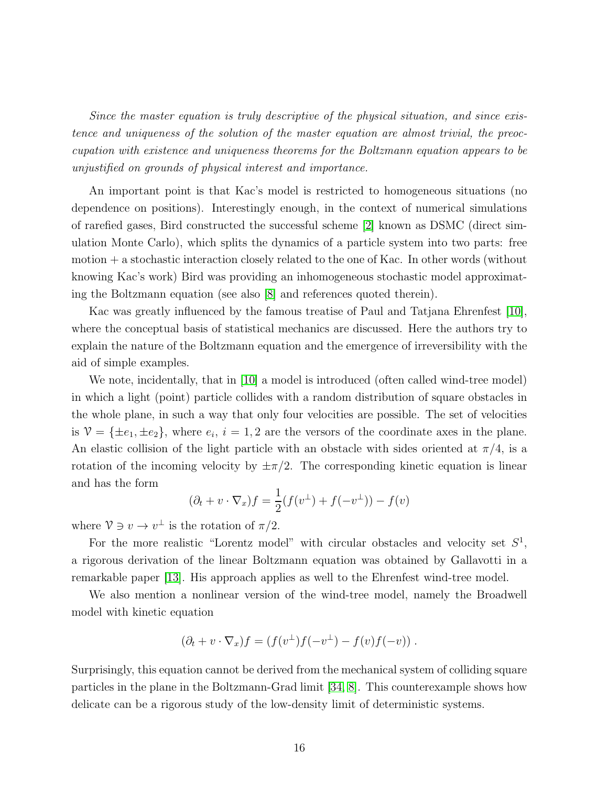*Since the master equation is truly descriptive of the physical situation, and since existence and uniqueness of the solution of the master equation are almost trivial, the preoccupation with existence and uniqueness theorems for the Boltzmann equation appears to be unjustified on grounds of physical interest and importance.*

An important point is that Kac's model is restricted to homogeneous situations (no dependence on positions). Interestingly enough, in the context of numerical simulations of rarefied gases, Bird constructed the successful scheme [\[2\]](#page-18-8) known as DSMC (direct simulation Monte Carlo), which splits the dynamics of a particle system into two parts: free motion + a stochastic interaction closely related to the one of Kac. In other words (without knowing Kac's work) Bird was providing an inhomogeneous stochastic model approximating the Boltzmann equation (see also [\[8\]](#page-18-5) and references quoted therein).

Kac was greatly influenced by the famous treatise of Paul and Tatjana Ehrenfest [\[10\]](#page-18-9), where the conceptual basis of statistical mechanics are discussed. Here the authors try to explain the nature of the Boltzmann equation and the emergence of irreversibility with the aid of simple examples.

We note, incidentally, that in [\[10\]](#page-18-9) a model is introduced (often called wind-tree model) in which a light (point) particle collides with a random distribution of square obstacles in the whole plane, in such a way that only four velocities are possible. The set of velocities is  $\mathcal{V} = {\pm e_1, \pm e_2}$ , where  $e_i$ ,  $i = 1, 2$  are the versors of the coordinate axes in the plane. An elastic collision of the light particle with an obstacle with sides oriented at  $\pi/4$ , is a rotation of the incoming velocity by  $\pm \pi/2$ . The corresponding kinetic equation is linear and has the form

$$
(\partial_t + v \cdot \nabla_x) f = \frac{1}{2} (f(v^{\perp}) + f(-v^{\perp})) - f(v)
$$

where  $\mathcal{V} \ni v \to v^{\perp}$  is the rotation of  $\pi/2$ .

For the more realistic "Lorentz model" with circular obstacles and velocity set  $S^1$ , a rigorous derivation of the linear Boltzmann equation was obtained by Gallavotti in a remarkable paper [\[13\]](#page-18-10). His approach applies as well to the Ehrenfest wind-tree model.

We also mention a nonlinear version of the wind-tree model, namely the Broadwell model with kinetic equation

$$
(\partial_t + v \cdot \nabla_x) f = (f(v^{\perp}) f(-v^{\perp}) - f(v) f(-v)).
$$

Surprisingly, this equation cannot be derived from the mechanical system of colliding square particles in the plane in the Boltzmann-Grad limit [\[34,](#page-20-6) [8\]](#page-18-5). This counterexample shows how delicate can be a rigorous study of the low-density limit of deterministic systems.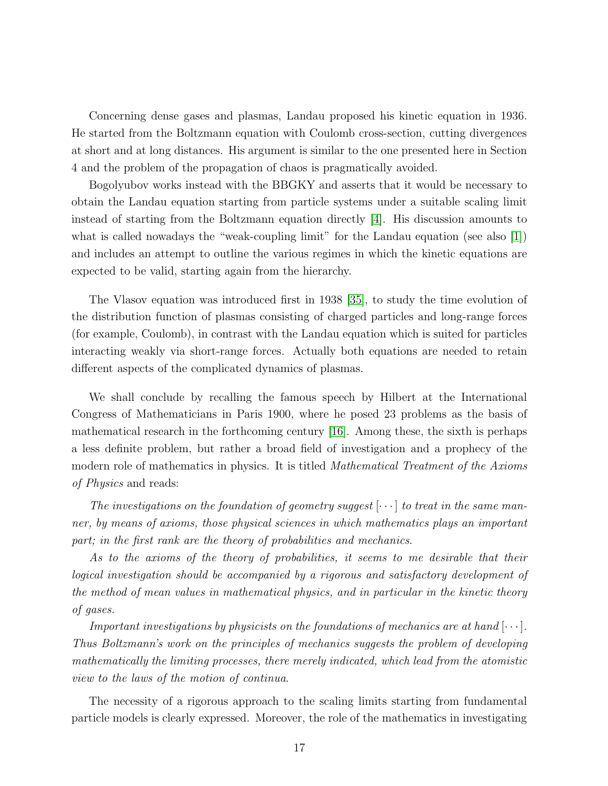Concerning dense gases and plasmas, Landau proposed his kinetic equation in 1936. He started from the Boltzmann equation with Coulomb cross-section, cutting divergences at short and at long distances. His argument is similar to the one presented here in Section 4 and the problem of the propagation of chaos is pragmatically avoided.

Bogolyubov works instead with the BBGKY and asserts that it would be necessary to obtain the Landau equation starting from particle systems under a suitable scaling limit instead of starting from the Boltzmann equation directly [\[4\]](#page-18-0). His discussion amounts to what is called nowadays the "weak-coupling limit" for the Landau equation (see also [\[1\]](#page-18-11)) and includes an attempt to outline the various regimes in which the kinetic equations are expected to be valid, starting again from the hierarchy.

The Vlasov equation was introduced first in 1938 [\[35\]](#page-20-7), to study the time evolution of the distribution function of plasmas consisting of charged particles and long-range forces (for example, Coulomb), in contrast with the Landau equation which is suited for particles interacting weakly via short-range forces. Actually both equations are needed to retain different aspects of the complicated dynamics of plasmas.

We shall conclude by recalling the famous speech by Hilbert at the International Congress of Mathematicians in Paris 1900, where he posed 23 problems as the basis of mathematical research in the forthcoming century [\[16\]](#page-19-10). Among these, the sixth is perhaps a less definite problem, but rather a broad field of investigation and a prophecy of the modern role of mathematics in physics. It is titled *Mathematical Treatment of the Axioms of Physics* and reads:

*The investigations on the foundation of geometry suggest* [· · · ] *to treat in the same manner, by means of axioms, those physical sciences in which mathematics plays an important part; in the first rank are the theory of probabilities and mechanics*.

*As to the axioms of the theory of probabilities, it seems to me desirable that their logical investigation should be accompanied by a rigorous and satisfactory development of the method of mean values in mathematical physics, and in particular in the kinetic theory of gases.*

*Important investigations by physicists on the foundations of mechanics are at hand*  $[\cdots]$ *. Thus Boltzmann's work on the principles of mechanics suggests the problem of developing mathematically the limiting processes, there merely indicated, which lead from the atomistic view to the laws of the motion of continua*.

The necessity of a rigorous approach to the scaling limits starting from fundamental particle models is clearly expressed. Moreover, the role of the mathematics in investigating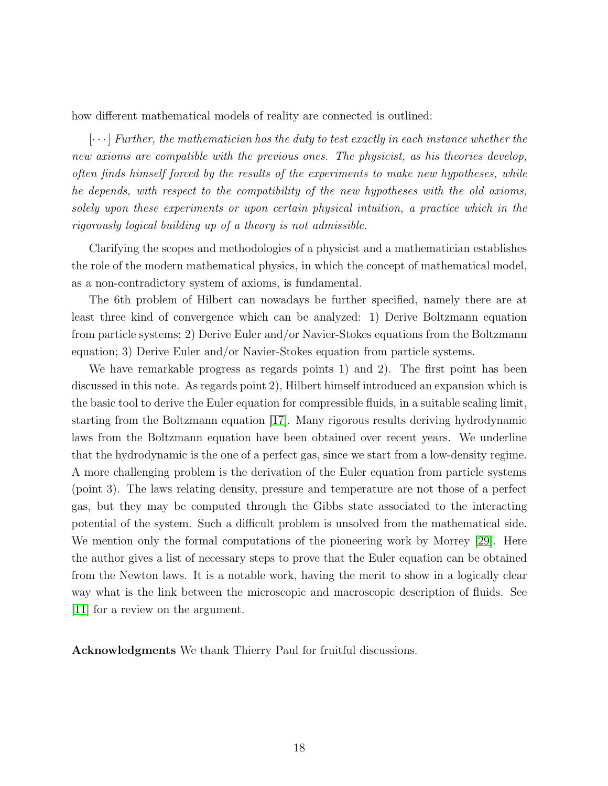how different mathematical models of reality are connected is outlined:

 $[\cdots]$  *Further, the mathematician has the duty to test exactly in each instance whether the new axioms are compatible with the previous ones. The physicist, as his theories develop, often finds himself forced by the results of the experiments to make new hypotheses, while he depends, with respect to the compatibility of the new hypotheses with the old axioms, solely upon these experiments or upon certain physical intuition, a practice which in the rigorously logical building up of a theory is not admissible.*

Clarifying the scopes and methodologies of a physicist and a mathematician establishes the role of the modern mathematical physics, in which the concept of mathematical model, as a non-contradictory system of axioms, is fundamental.

The 6th problem of Hilbert can nowadays be further specified, namely there are at least three kind of convergence which can be analyzed: 1) Derive Boltzmann equation from particle systems; 2) Derive Euler and/or Navier-Stokes equations from the Boltzmann equation; 3) Derive Euler and/or Navier-Stokes equation from particle systems.

We have remarkable progress as regards points 1) and 2). The first point has been discussed in this note. As regards point 2), Hilbert himself introduced an expansion which is the basic tool to derive the Euler equation for compressible fluids, in a suitable scaling limit, starting from the Boltzmann equation [\[17\]](#page-19-11). Many rigorous results deriving hydrodynamic laws from the Boltzmann equation have been obtained over recent years. We underline that the hydrodynamic is the one of a perfect gas, since we start from a low-density regime. A more challenging problem is the derivation of the Euler equation from particle systems (point 3). The laws relating density, pressure and temperature are not those of a perfect gas, but they may be computed through the Gibbs state associated to the interacting potential of the system. Such a difficult problem is unsolved from the mathematical side. We mention only the formal computations of the pioneering work by Morrey [\[29\]](#page-20-8). Here the author gives a list of necessary steps to prove that the Euler equation can be obtained from the Newton laws. It is a notable work, having the merit to show in a logically clear way what is the link between the microscopic and macroscopic description of fluids. See [\[11\]](#page-18-12) for a review on the argument.

Acknowledgments We thank Thierry Paul for fruitful discussions.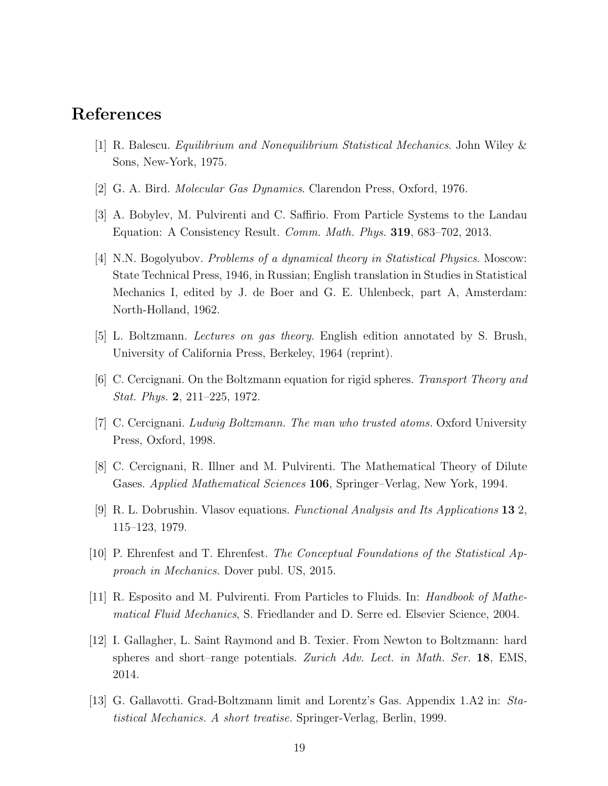### <span id="page-18-11"></span>References

- <span id="page-18-8"></span>[1] R. Balescu. *Equilibrium and Nonequilibrium Statistical Mechanics*. John Wiley & Sons, New-York, 1975.
- <span id="page-18-6"></span>[2] G. A. Bird. *Molecular Gas Dynamics*. Clarendon Press, Oxford, 1976.
- <span id="page-18-0"></span>[3] A. Bobylev, M. Pulvirenti and C. Saffirio. From Particle Systems to the Landau Equation: A Consistency Result. *Comm. Math. Phys.* 319, 683–702, 2013.
- [4] N.N. Bogolyubov. *Problems of a dynamical theory in Statistical Physics*. Moscow: State Technical Press, 1946, in Russian; English translation in Studies in Statistical Mechanics I, edited by J. de Boer and G. E. Uhlenbeck, part A, Amsterdam: North-Holland, 1962.
- <span id="page-18-7"></span><span id="page-18-3"></span>[5] L. Boltzmann. *Lectures on gas theory*. English edition annotated by S. Brush, University of California Press, Berkeley, 1964 (reprint).
- <span id="page-18-2"></span>[6] C. Cercignani. On the Boltzmann equation for rigid spheres. *Transport Theory and Stat. Phys.* 2, 211–225, 1972.
- <span id="page-18-5"></span>[7] C. Cercignani. *Ludwig Boltzmann. The man who trusted atoms.* Oxford University Press, Oxford, 1998.
- <span id="page-18-1"></span>[8] C. Cercignani, R. Illner and M. Pulvirenti. The Mathematical Theory of Dilute Gases. *Applied Mathematical Sciences* 106, Springer–Verlag, New York, 1994.
- <span id="page-18-9"></span>[9] R. L. Dobrushin. Vlasov equations. *Functional Analysis and Its Applications* 13 2, 115–123, 1979.
- <span id="page-18-12"></span>[10] P. Ehrenfest and T. Ehrenfest. *The Conceptual Foundations of the Statistical Approach in Mechanics.* Dover publ. US, 2015.
- <span id="page-18-4"></span>[11] R. Esposito and M. Pulvirenti. From Particles to Fluids. In: *Handbook of Mathematical Fluid Mechanics*, S. Friedlander and D. Serre ed. Elsevier Science, 2004.
- [12] I. Gallagher, L. Saint Raymond and B. Texier. From Newton to Boltzmann: hard spheres and short–range potentials. *Zurich Adv. Lect. in Math. Ser.* 18, EMS, 2014.
- <span id="page-18-10"></span>[13] G. Gallavotti. Grad-Boltzmann limit and Lorentz's Gas. Appendix 1.A2 in: *Statistical Mechanics. A short treatise.* Springer-Verlag, Berlin, 1999.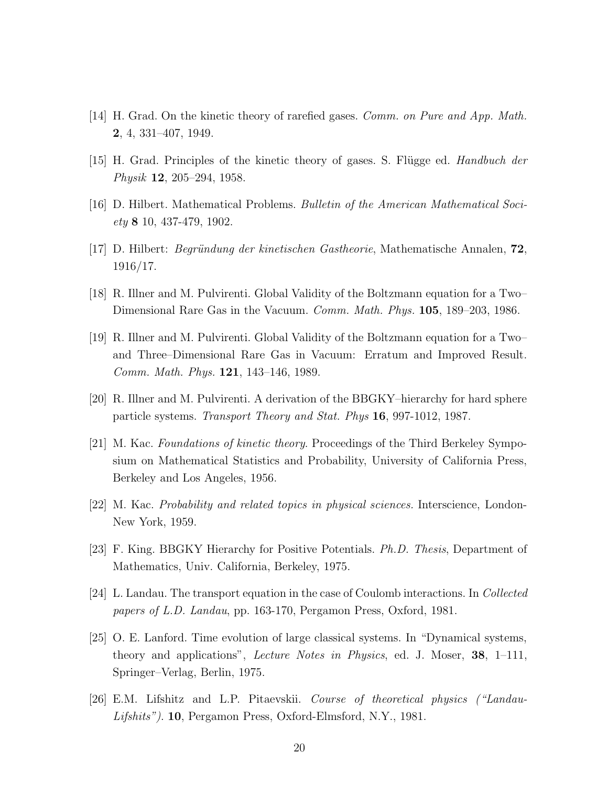- <span id="page-19-1"></span><span id="page-19-0"></span>[14] H. Grad. On the kinetic theory of rarefied gases. *Comm. on Pure and App. Math.* 2, 4, 331–407, 1949.
- <span id="page-19-10"></span>[15] H. Grad. Principles of the kinetic theory of gases. S. Flügge ed. *Handbuch der Physik* 12, 205–294, 1958.
- <span id="page-19-11"></span>[16] D. Hilbert. Mathematical Problems. *Bulletin of the American Mathematical Society* 8 10, 437-479, 1902.
- <span id="page-19-3"></span>[17] D. Hilbert: *Begr¨undung der kinetischen Gastheorie*, Mathematische Annalen, 72, 1916/17.
- <span id="page-19-4"></span>[18] R. Illner and M. Pulvirenti. Global Validity of the Boltzmann equation for a Two– Dimensional Rare Gas in the Vacuum. *Comm. Math. Phys.* 105, 189–203, 1986.
- [19] R. Illner and M. Pulvirenti. Global Validity of the Boltzmann equation for a Two– and Three–Dimensional Rare Gas in Vacuum: Erratum and Improved Result. *Comm. Math. Phys.* 121, 143–146, 1989.
- <span id="page-19-8"></span>[20] R. Illner and M. Pulvirenti. A derivation of the BBGKY–hierarchy for hard sphere particle systems. *Transport Theory and Stat. Phys* 16, 997-1012, 1987.
- [21] M. Kac. *Foundations of kinetic theory*. Proceedings of the Third Berkeley Symposium on Mathematical Statistics and Probability, University of California Press, Berkeley and Los Angeles, 1956.
- <span id="page-19-9"></span><span id="page-19-5"></span>[22] M. Kac. *Probability and related topics in physical sciences.* Interscience, London-New York, 1959.
- <span id="page-19-6"></span>[23] F. King. BBGKY Hierarchy for Positive Potentials. *Ph.D. Thesis*, Department of Mathematics, Univ. California, Berkeley, 1975.
- <span id="page-19-2"></span>[24] L. Landau. The transport equation in the case of Coulomb interactions. In *Collected papers of L.D. Landau*, pp. 163-170, Pergamon Press, Oxford, 1981.
- [25] O. E. Lanford. Time evolution of large classical systems. In "Dynamical systems, theory and applications", *Lecture Notes in Physics*, ed. J. Moser, 38, 1–111, Springer–Verlag, Berlin, 1975.
- <span id="page-19-7"></span>[26] E.M. Lifshitz and L.P. Pitaevskii. *Course of theoretical physics ("Landau-Lifshits")*. 10, Pergamon Press, Oxford-Elmsford, N.Y., 1981.